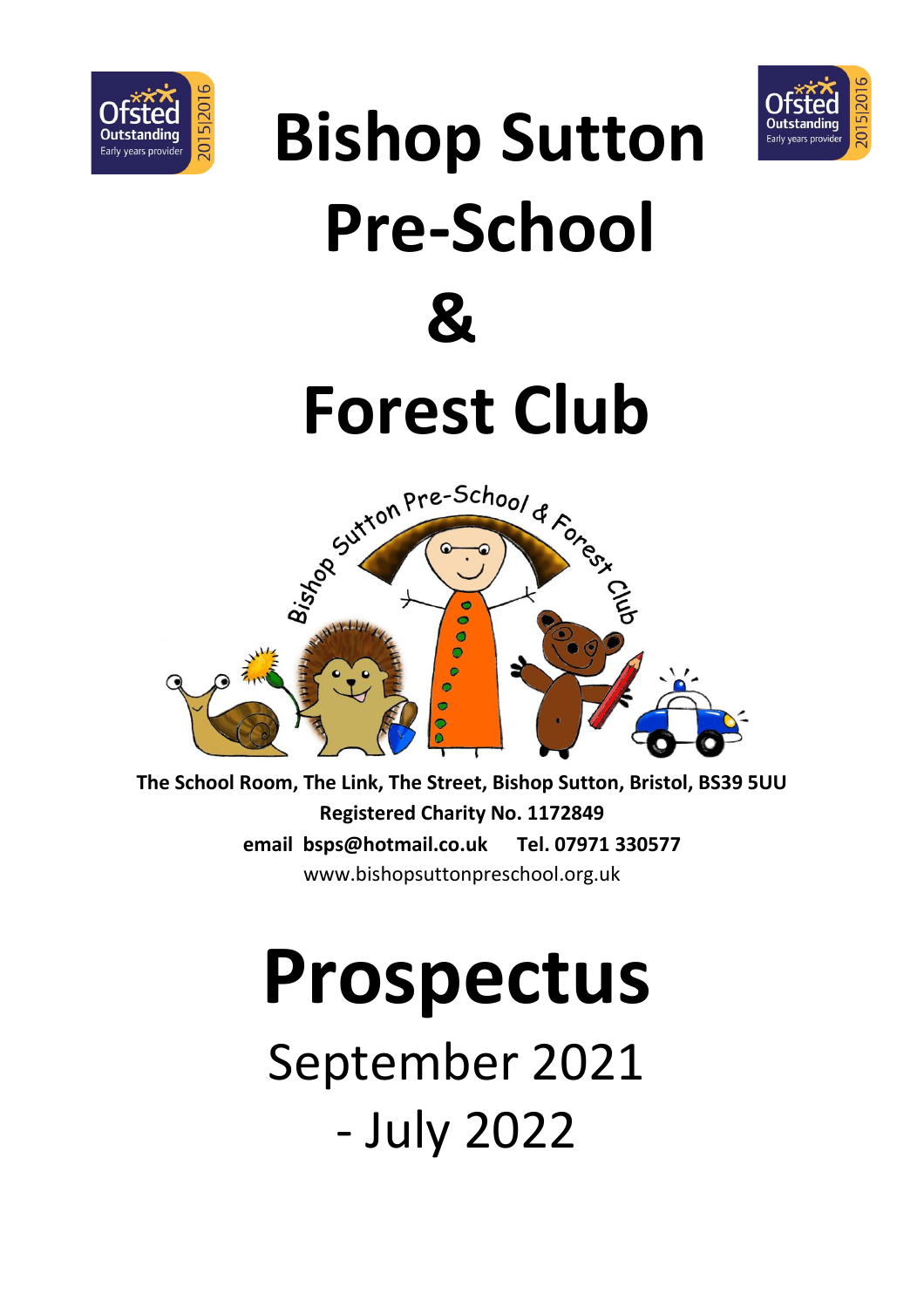



# **Bishop Sutton Pre-School 8 Forest Club**  Bishop Pre-School & Forest O  $\Omega$

**The School Room, The Link, The Street, Bishop Sutton, Bristol, BS39 5UU Registered Charity No. 1172849 email bsps@hotmail.co.uk Tel. 07971 330577** www.bishopsuttonpreschool.org.uk

# **Prospectus** September 2021 - July 2022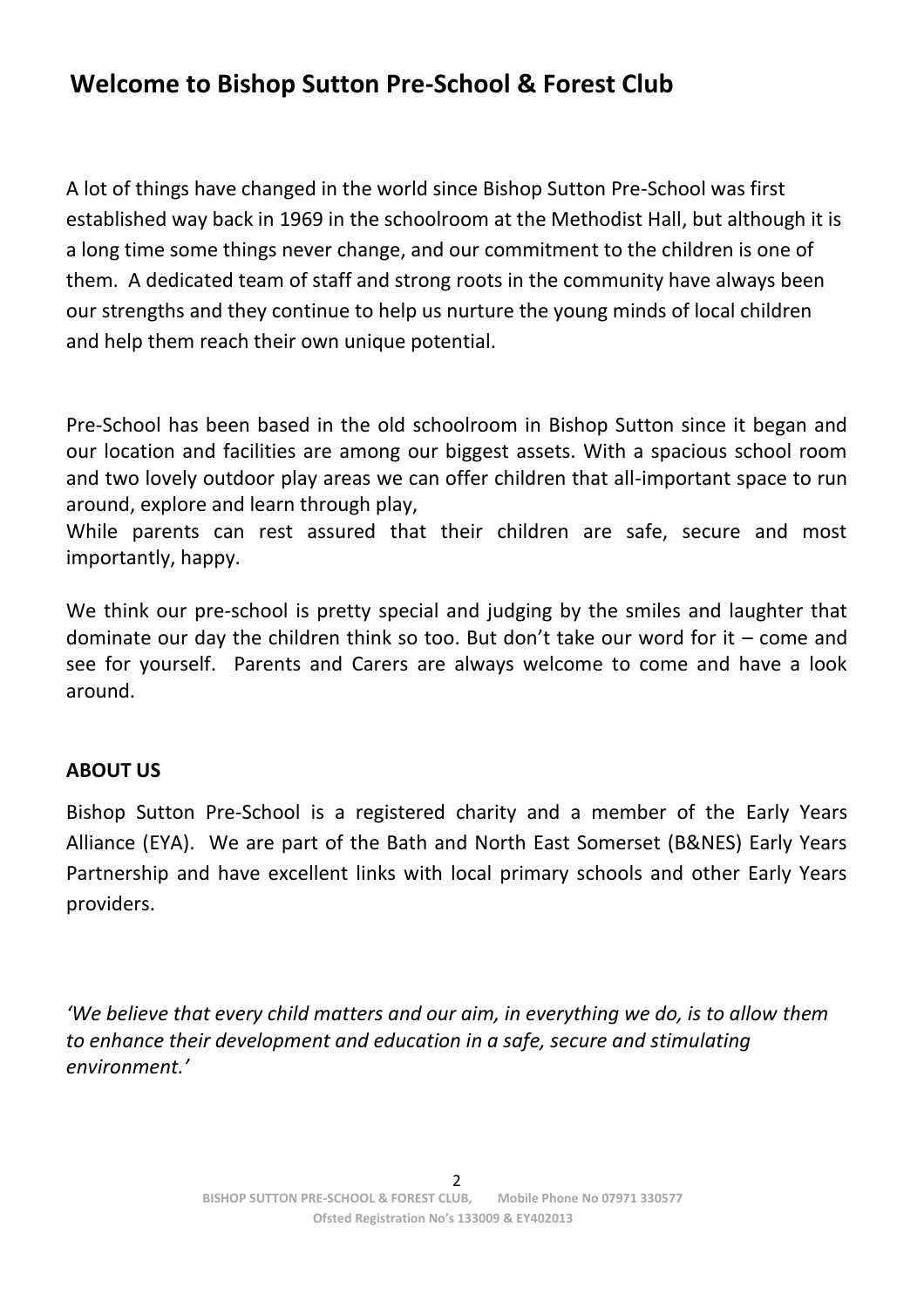# **Welcome to Bishop Sutton Pre-School & Forest Club**

A lot of things have changed in the world since Bishop Sutton Pre-School was first established way back in 1969 in the schoolroom at the Methodist Hall, but although it is a long time some things never change, and our commitment to the children is one of them. A dedicated team of staff and strong roots in the community have always been our strengths and they continue to help us nurture the young minds of local children and help them reach their own unique potential.

Pre-School has been based in the old schoolroom in Bishop Sutton since it began and our location and facilities are among our biggest assets. With a spacious school room and two lovely outdoor play areas we can offer children that all-important space to run around, explore and learn through play,

While parents can rest assured that their children are safe, secure and most importantly, happy.

We think our pre-school is pretty special and judging by the smiles and laughter that dominate our day the children think so too. But don't take our word for it – come and see for yourself. Parents and Carers are always welcome to come and have a look around.

#### **ABOUT US**

Bishop Sutton Pre-School is a registered charity and a member of the Early Years Alliance (EYA). We are part of the Bath and North East Somerset (B&NES) Early Years Partnership and have excellent links with local primary schools and other Early Years providers.

*'We believe that every child matters and our aim, in everything we do, is to allow them to enhance their development and education in a safe, secure and stimulating environment.'*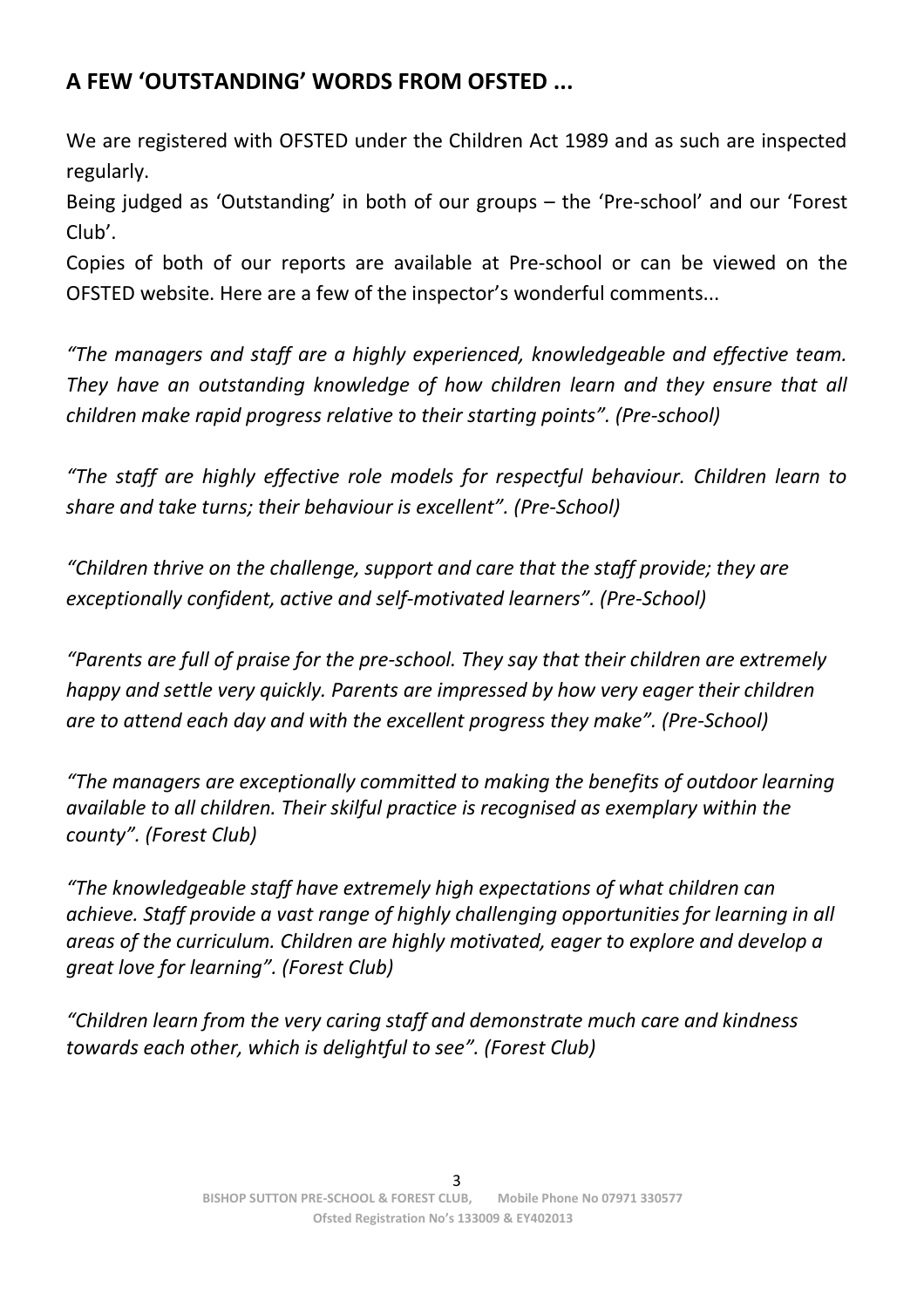# **A FEW 'OUTSTANDING' WORDS FROM OFSTED ...**

We are registered with OFSTED under the Children Act 1989 and as such are inspected regularly.

Being judged as 'Outstanding' in both of our groups – the 'Pre-school' and our 'Forest Club'.

Copies of both of our reports are available at Pre-school or can be viewed on the OFSTED website. Here are a few of the inspector's wonderful comments...

*"The managers and staff are a highly experienced, knowledgeable and effective team. They have an outstanding knowledge of how children learn and they ensure that all children make rapid progress relative to their starting points". (Pre-school)*

*"The staff are highly effective role models for respectful behaviour. Children learn to share and take turns; their behaviour is excellent". (Pre-School)*

*"Children thrive on the challenge, support and care that the staff provide; they are exceptionally confident, active and self-motivated learners". (Pre-School)*

*"Parents are full of praise for the pre-school. They say that their children are extremely happy and settle very quickly. Parents are impressed by how very eager their children are to attend each day and with the excellent progress they make". (Pre-School)*

*"The managers are exceptionally committed to making the benefits of outdoor learning available to all children. Their skilful practice is recognised as exemplary within the county". (Forest Club)*

*"The knowledgeable staff have extremely high expectations of what children can achieve. Staff provide a vast range of highly challenging opportunities for learning in all areas of the curriculum. Children are highly motivated, eager to explore and develop a great love for learning". (Forest Club)*

*"Children learn from the very caring staff and demonstrate much care and kindness towards each other, which is delightful to see". (Forest Club)*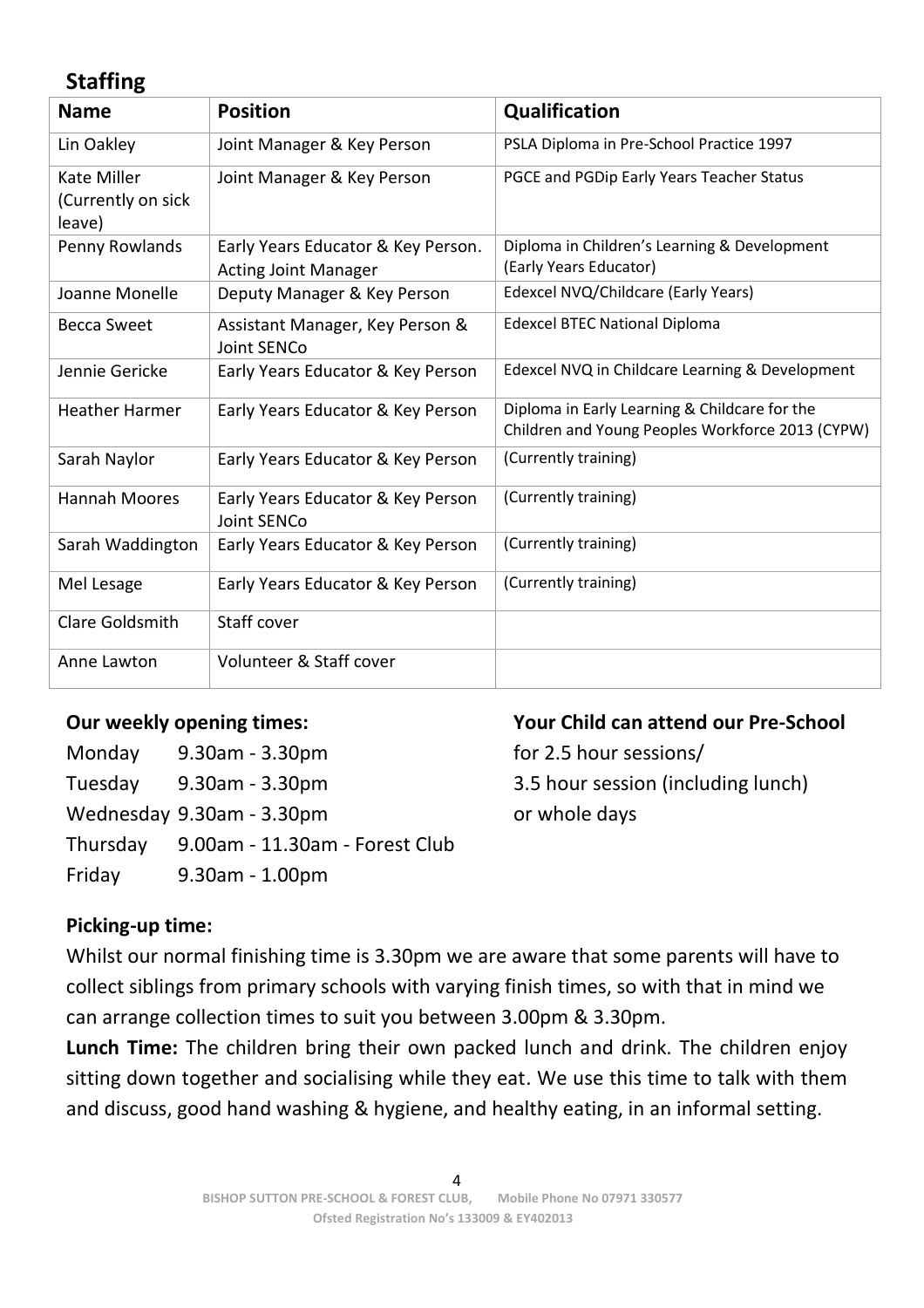# **Staffing**

| <b>Name</b>                                        | <b>Position</b>                                                   | Qualification                                                                                     |
|----------------------------------------------------|-------------------------------------------------------------------|---------------------------------------------------------------------------------------------------|
| Lin Oakley                                         | Joint Manager & Key Person                                        | PSLA Diploma in Pre-School Practice 1997                                                          |
| <b>Kate Miller</b><br>(Currently on sick<br>leave) | Joint Manager & Key Person                                        | PGCE and PGDip Early Years Teacher Status                                                         |
| Penny Rowlands                                     | Early Years Educator & Key Person.<br><b>Acting Joint Manager</b> | Diploma in Children's Learning & Development<br>(Early Years Educator)                            |
| Joanne Monelle                                     | Deputy Manager & Key Person                                       | Edexcel NVQ/Childcare (Early Years)                                                               |
| <b>Becca Sweet</b>                                 | Assistant Manager, Key Person &<br><b>Joint SENCo</b>             | <b>Edexcel BTEC National Diploma</b>                                                              |
| Jennie Gericke                                     | Early Years Educator & Key Person                                 | Edexcel NVQ in Childcare Learning & Development                                                   |
| <b>Heather Harmer</b>                              | Early Years Educator & Key Person                                 | Diploma in Early Learning & Childcare for the<br>Children and Young Peoples Workforce 2013 (CYPW) |
| Sarah Naylor                                       | Early Years Educator & Key Person                                 | (Currently training)                                                                              |
| Hannah Moores                                      | Early Years Educator & Key Person<br>Joint SENCo                  | (Currently training)                                                                              |
| Sarah Waddington                                   | Early Years Educator & Key Person                                 | (Currently training)                                                                              |
| Mel Lesage                                         | Early Years Educator & Key Person                                 | (Currently training)                                                                              |
| Clare Goldsmith                                    | Staff cover                                                       |                                                                                                   |
| Anne Lawton                                        | Volunteer & Staff cover                                           |                                                                                                   |

| Monday   | $9.30$ am - $3.30$ pm          |
|----------|--------------------------------|
| Tuesday  | 9.30am - 3.30pm                |
|          | Wednesday 9.30am - 3.30pm      |
| Thursday | 9.00am - 11.30am - Forest Club |
| Friday   | $9.30$ am - 1.00pm             |

#### **Our weekly opening times: Your Child can attend our Pre-School**

for 2.5 hour sessions/ 3.5 hour session (including lunch) or whole days

#### **Picking-up time:**

Whilst our normal finishing time is 3.30pm we are aware that some parents will have to collect siblings from primary schools with varying finish times, so with that in mind we can arrange collection times to suit you between 3.00pm & 3.30pm.

**Lunch Time:** The children bring their own packed lunch and drink. The children enjoy sitting down together and socialising while they eat. We use this time to talk with them and discuss, good hand washing & hygiene, and healthy eating, in an informal setting.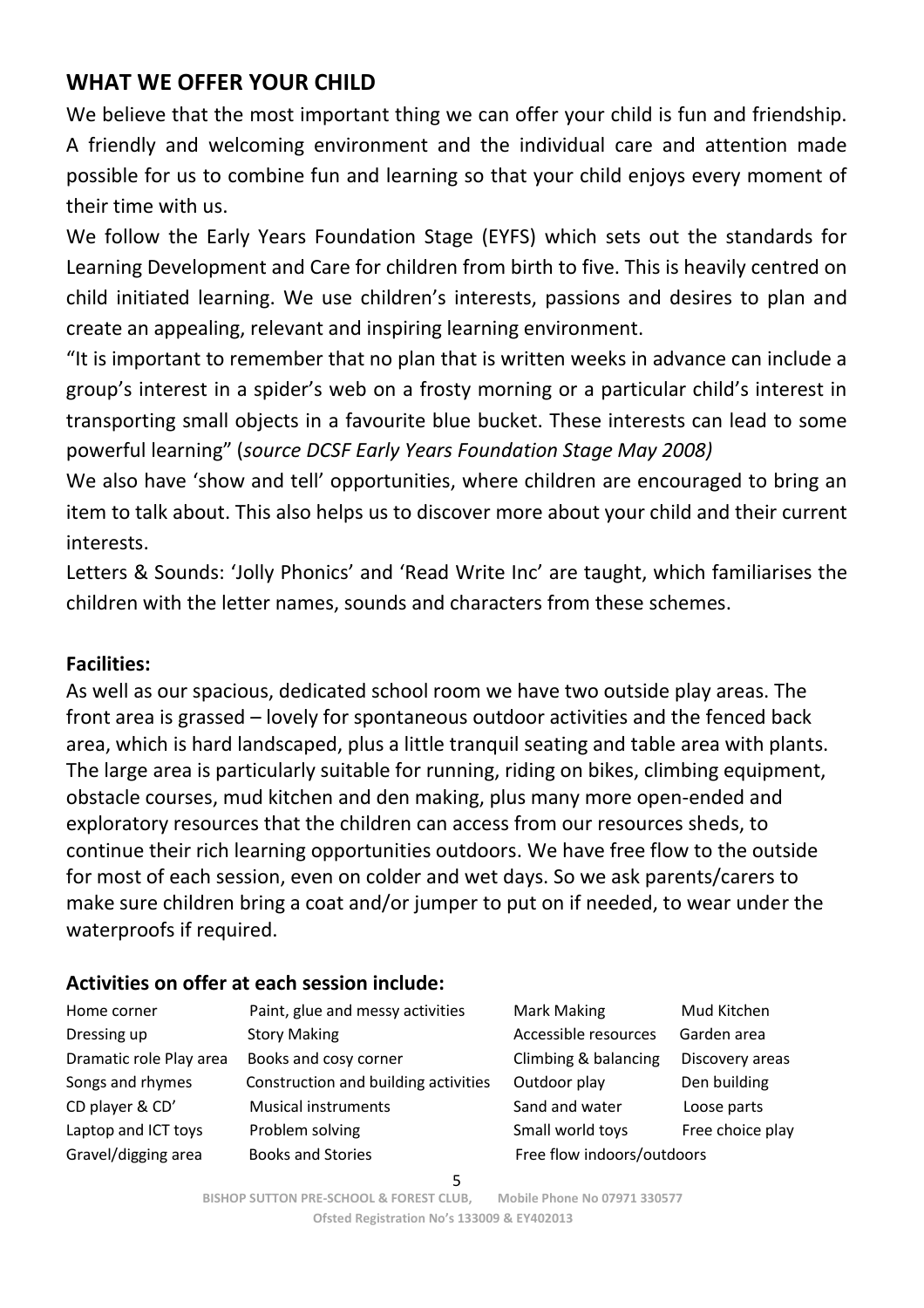# **WHAT WE OFFER YOUR CHILD**

We believe that the most important thing we can offer your child is fun and friendship. A friendly and welcoming environment and the individual care and attention made possible for us to combine fun and learning so that your child enjoys every moment of their time with us.

We follow the Early Years Foundation Stage (EYFS) which sets out the standards for Learning Development and Care for children from birth to five. This is heavily centred on child initiated learning. We use children's interests, passions and desires to plan and create an appealing, relevant and inspiring learning environment.

"It is important to remember that no plan that is written weeks in advance can include a group's interest in a spider's web on a frosty morning or a particular child's interest in transporting small objects in a favourite blue bucket. These interests can lead to some powerful learning" (*source DCSF Early Years Foundation Stage May 2008)*

We also have 'show and tell' opportunities, where children are encouraged to bring an item to talk about. This also helps us to discover more about your child and their current interests.

Letters & Sounds: 'Jolly Phonics' and 'Read Write Inc' are taught, which familiarises the children with the letter names, sounds and characters from these schemes.

#### **Facilities:**

As well as our spacious, dedicated school room we have two outside play areas. The front area is grassed – lovely for spontaneous outdoor activities and the fenced back area, which is hard landscaped, plus a little tranquil seating and table area with plants. The large area is particularly suitable for running, riding on bikes, climbing equipment, obstacle courses, mud kitchen and den making, plus many more open-ended and exploratory resources that the children can access from our resources sheds, to continue their rich learning opportunities outdoors. We have free flow to the outside for most of each session, even on colder and wet days. So we ask parents/carers to make sure children bring a coat and/or jumper to put on if needed, to wear under the waterproofs if required.

#### **Activities on offer at each session include:**

| Home corner             | Paint, glue and messy activities    |
|-------------------------|-------------------------------------|
| Dressing up             | <b>Story Making</b>                 |
| Dramatic role Play area | Books and cosy corner               |
| Songs and rhymes        | Construction and building activitie |
| CD player & CD'         | <b>Musical instruments</b>          |
| Laptop and ICT toys     | Problem solving                     |
| Gravel/digging area     | <b>Books and Stories</b>            |

Mark Making Mud Kitchen Accessible resources Garden area Climbing & balancing Discovery areas Songs and rhymes Construction and building and building activities Outdoor play Den building Sand and water Loose parts Small world toys Free choice play Free flow indoors/outdoors

5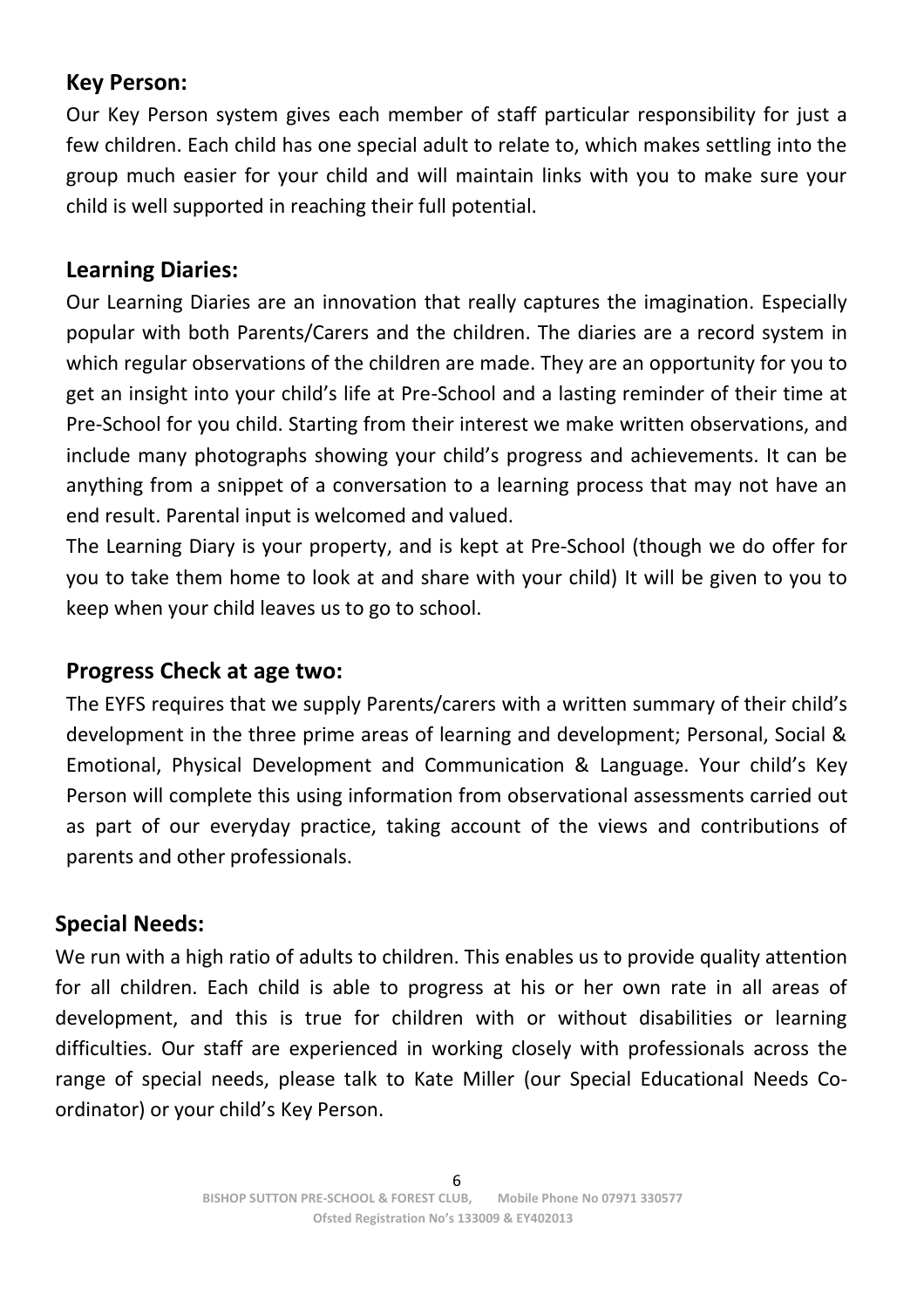# **Key Person:**

Our Key Person system gives each member of staff particular responsibility for just a few children. Each child has one special adult to relate to, which makes settling into the group much easier for your child and will maintain links with you to make sure your child is well supported in reaching their full potential.

## **Learning Diaries:**

Our Learning Diaries are an innovation that really captures the imagination. Especially popular with both Parents/Carers and the children. The diaries are a record system in which regular observations of the children are made. They are an opportunity for you to get an insight into your child's life at Pre-School and a lasting reminder of their time at Pre-School for you child. Starting from their interest we make written observations, and include many photographs showing your child's progress and achievements. It can be anything from a snippet of a conversation to a learning process that may not have an end result. Parental input is welcomed and valued.

The Learning Diary is your property, and is kept at Pre-School (though we do offer for you to take them home to look at and share with your child) It will be given to you to keep when your child leaves us to go to school.

#### **Progress Check at age two:**

The EYFS requires that we supply Parents/carers with a written summary of their child's development in the three prime areas of learning and development; Personal, Social & Emotional, Physical Development and Communication & Language. Your child's Key Person will complete this using information from observational assessments carried out as part of our everyday practice, taking account of the views and contributions of parents and other professionals.

#### **Special Needs:**

We run with a high ratio of adults to children. This enables us to provide quality attention for all children. Each child is able to progress at his or her own rate in all areas of development, and this is true for children with or without disabilities or learning difficulties. Our staff are experienced in working closely with professionals across the range of special needs, please talk to Kate Miller (our Special Educational Needs Coordinator) or your child's Key Person.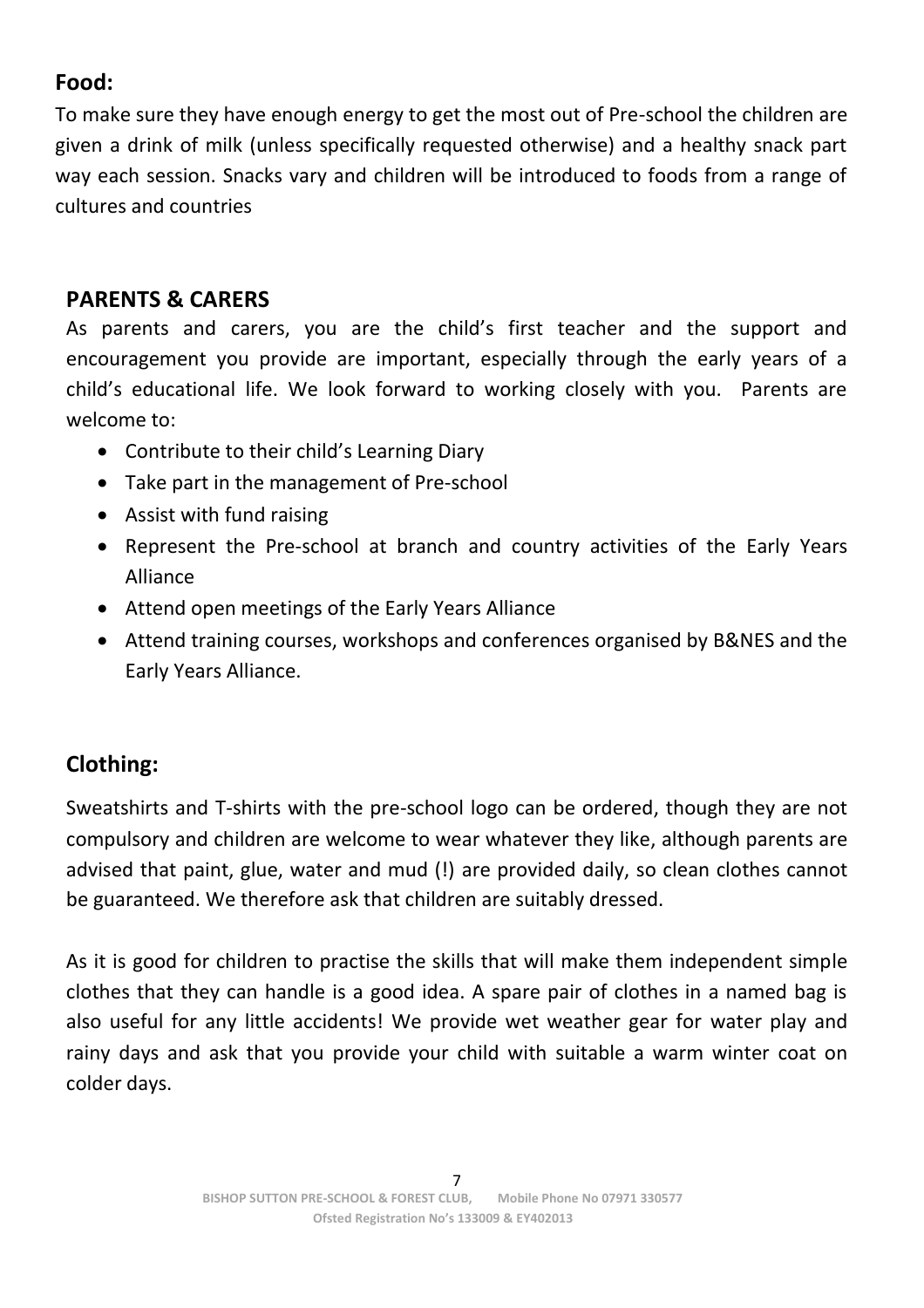# **Food:**

To make sure they have enough energy to get the most out of Pre-school the children are given a drink of milk (unless specifically requested otherwise) and a healthy snack part way each session. Snacks vary and children will be introduced to foods from a range of cultures and countries

## **PARENTS & CARERS**

As parents and carers, you are the child's first teacher and the support and encouragement you provide are important, especially through the early years of a child's educational life. We look forward to working closely with you. Parents are welcome to:

- Contribute to their child's Learning Diary
- Take part in the management of Pre-school
- Assist with fund raising
- Represent the Pre-school at branch and country activities of the Early Years Alliance
- Attend open meetings of the Early Years Alliance
- Attend training courses, workshops and conferences organised by B&NES and the Early Years Alliance.

# **Clothing:**

Sweatshirts and T-shirts with the pre-school logo can be ordered, though they are not compulsory and children are welcome to wear whatever they like, although parents are advised that paint, glue, water and mud (!) are provided daily, so clean clothes cannot be guaranteed. We therefore ask that children are suitably dressed.

As it is good for children to practise the skills that will make them independent simple clothes that they can handle is a good idea. A spare pair of clothes in a named bag is also useful for any little accidents! We provide wet weather gear for water play and rainy days and ask that you provide your child with suitable a warm winter coat on colder days.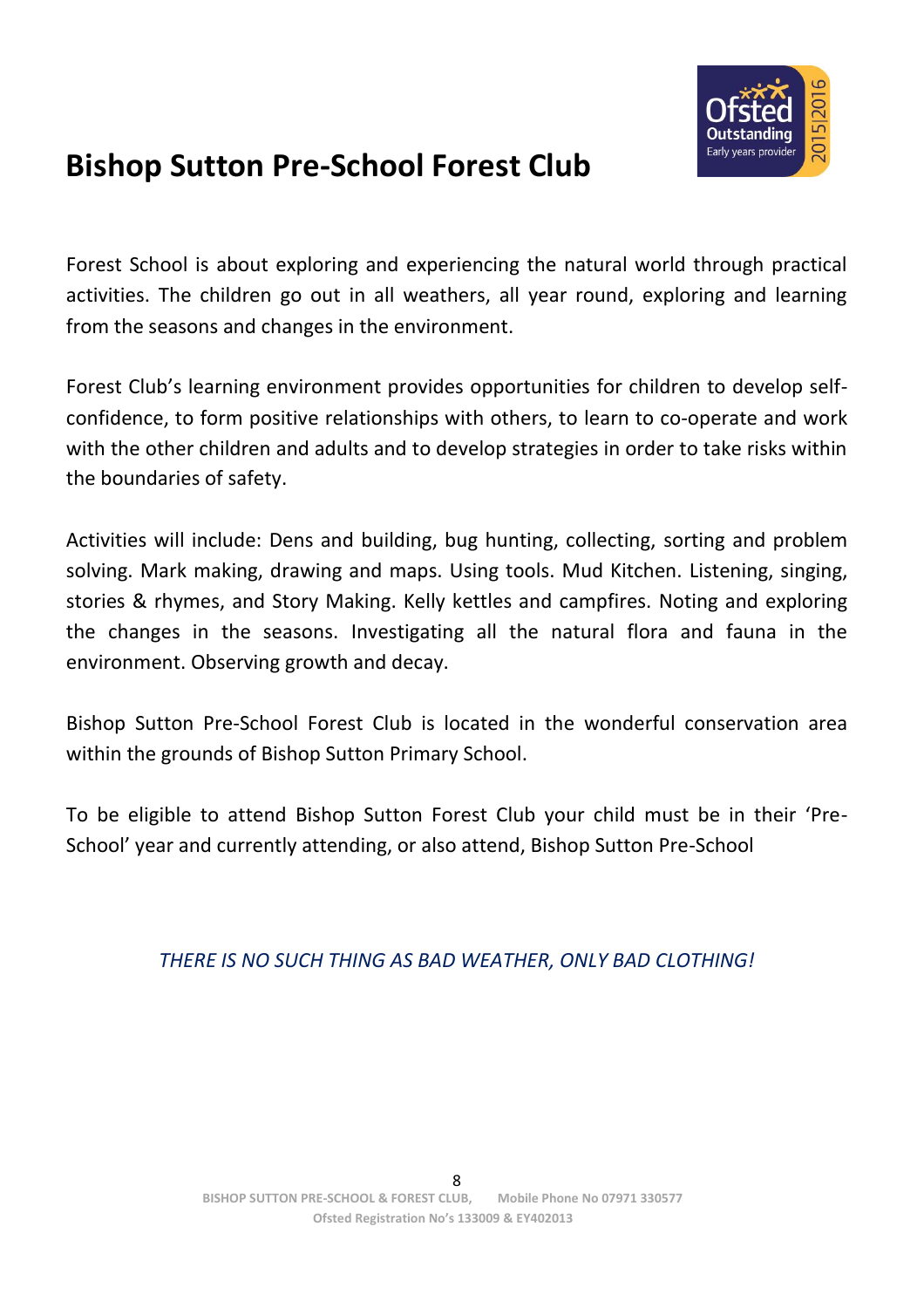

# **Bishop Sutton Pre-School Forest Club**

Forest School is about exploring and experiencing the natural world through practical activities. The children go out in all weathers, all year round, exploring and learning from the seasons and changes in the environment.

Forest Club's learning environment provides opportunities for children to develop selfconfidence, to form positive relationships with others, to learn to co-operate and work with the other children and adults and to develop strategies in order to take risks within the boundaries of safety.

Activities will include: Dens and building, bug hunting, collecting, sorting and problem solving. Mark making, drawing and maps. Using tools. Mud Kitchen. Listening, singing, stories & rhymes, and Story Making. Kelly kettles and campfires. Noting and exploring the changes in the seasons. Investigating all the natural flora and fauna in the environment. Observing growth and decay.

Bishop Sutton Pre-School Forest Club is located in the wonderful conservation area within the grounds of Bishop Sutton Primary School.

To be eligible to attend Bishop Sutton Forest Club your child must be in their 'Pre-School' year and currently attending, or also attend, Bishop Sutton Pre-School

#### *THERE IS NO SUCH THING AS BAD WEATHER, ONLY BAD CLOTHING!*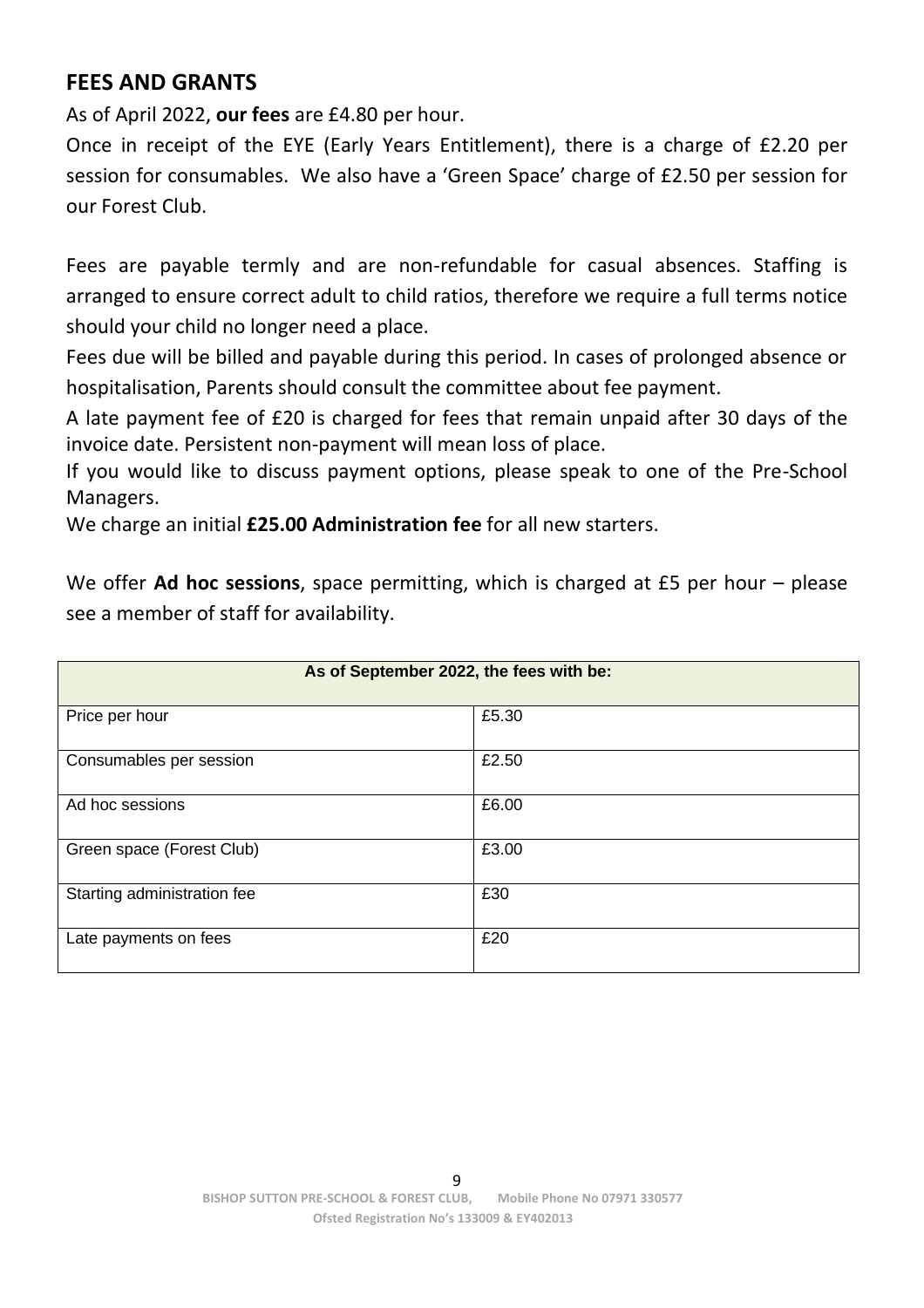# **FEES AND GRANTS**

As of April 2022, **our fees** are £4.80 per hour.

Once in receipt of the EYE (Early Years Entitlement), there is a charge of £2.20 per session for consumables. We also have a 'Green Space' charge of £2.50 per session for our Forest Club.

Fees are payable termly and are non-refundable for casual absences. Staffing is arranged to ensure correct adult to child ratios, therefore we require a full terms notice should your child no longer need a place.

Fees due will be billed and payable during this period. In cases of prolonged absence or hospitalisation, Parents should consult the committee about fee payment.

A late payment fee of £20 is charged for fees that remain unpaid after 30 days of the invoice date. Persistent non-payment will mean loss of place.

If you would like to discuss payment options, please speak to one of the Pre-School Managers.

We charge an initial **£25.00 Administration fee** for all new starters.

We offer **Ad hoc sessions**, space permitting, which is charged at £5 per hour – please see a member of staff for availability.

| As of September 2022, the fees with be: |       |  |  |  |
|-----------------------------------------|-------|--|--|--|
| Price per hour                          | £5.30 |  |  |  |
| Consumables per session                 | £2.50 |  |  |  |
| Ad hoc sessions                         | £6.00 |  |  |  |
| Green space (Forest Club)               | £3.00 |  |  |  |
| Starting administration fee             | £30   |  |  |  |
| Late payments on fees                   | £20   |  |  |  |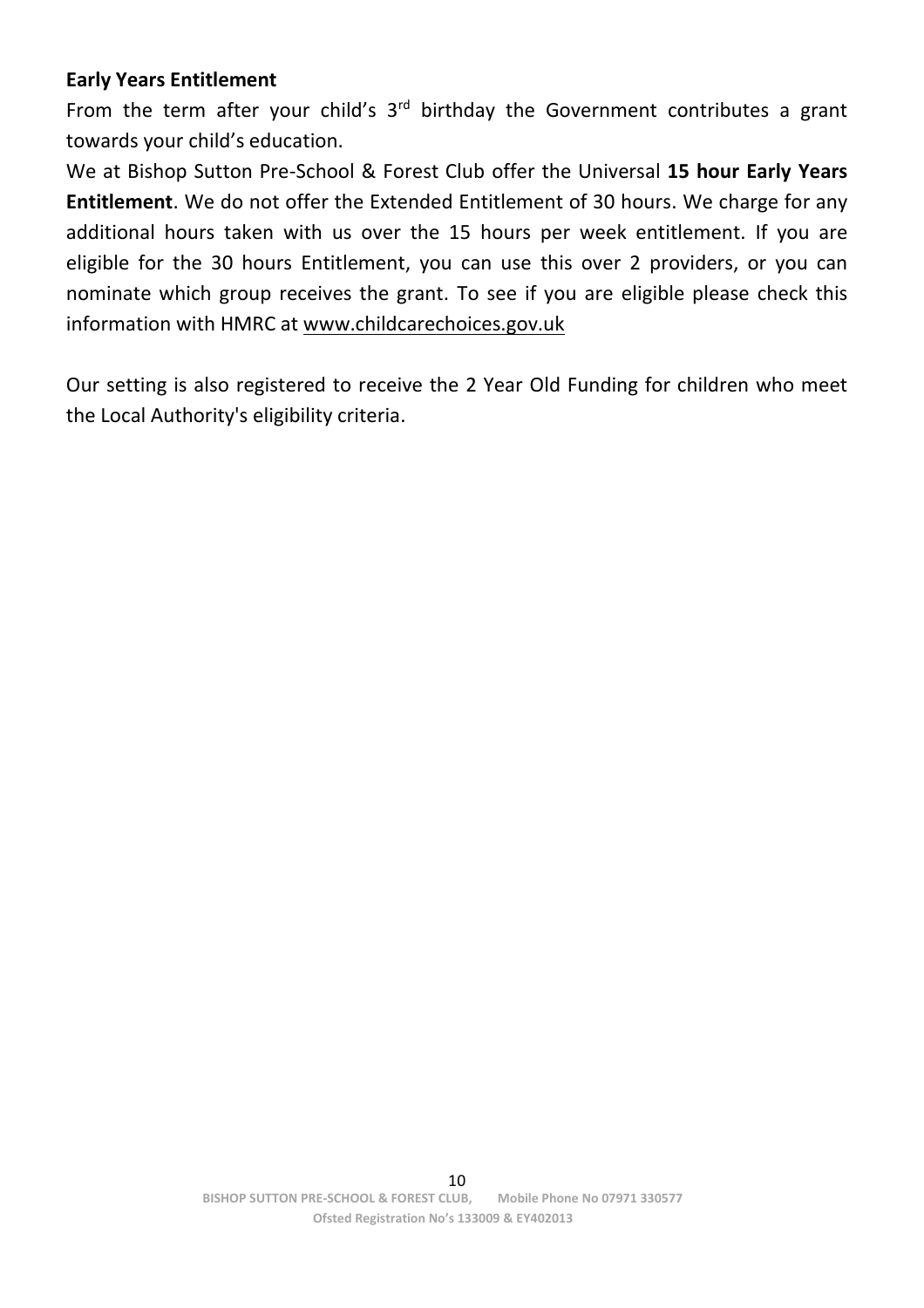#### **Early Years Entitlement**

From the term after your child's  $3<sup>rd</sup>$  birthday the Government contributes a grant towards your child's education.

We at Bishop Sutton Pre-School & Forest Club offer the Universal **15 hour Early Years Entitlement**. We do not offer the Extended Entitlement of 30 hours. We charge for any additional hours taken with us over the 15 hours per week entitlement. If you are eligible for the 30 hours Entitlement, you can use this over 2 providers, or you can nominate which group receives the grant. To see if you are eligible please check this information with HMRC at [www.childcarechoices.gov.uk](http://www.childcarechoices.gov.uk/)

Our setting is also registered to receive the 2 Year Old Funding for children who meet the Local Authority's eligibility criteria.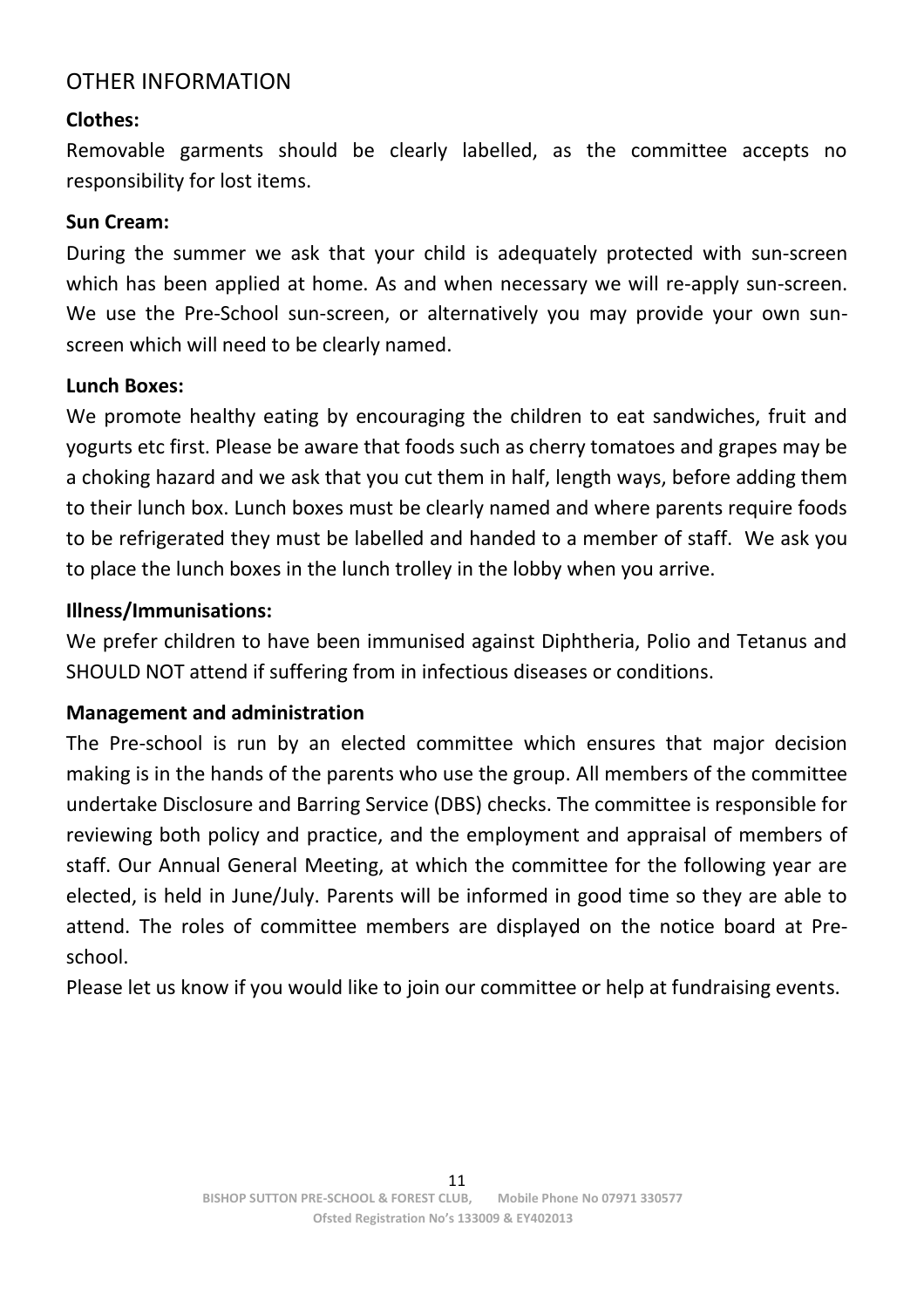#### OTHER INFORMATION

#### **Clothes:**

Removable garments should be clearly labelled, as the committee accepts no responsibility for lost items.

#### **Sun Cream:**

During the summer we ask that your child is adequately protected with sun-screen which has been applied at home. As and when necessary we will re-apply sun-screen. We use the Pre-School sun-screen, or alternatively you may provide your own sunscreen which will need to be clearly named.

#### **Lunch Boxes:**

We promote healthy eating by encouraging the children to eat sandwiches, fruit and yogurts etc first. Please be aware that foods such as cherry tomatoes and grapes may be a choking hazard and we ask that you cut them in half, length ways, before adding them to their lunch box. Lunch boxes must be clearly named and where parents require foods to be refrigerated they must be labelled and handed to a member of staff. We ask you to place the lunch boxes in the lunch trolley in the lobby when you arrive.

#### **Illness/Immunisations:**

We prefer children to have been immunised against Diphtheria, Polio and Tetanus and SHOULD NOT attend if suffering from in infectious diseases or conditions.

#### **Management and administration**

The Pre-school is run by an elected committee which ensures that major decision making is in the hands of the parents who use the group. All members of the committee undertake Disclosure and Barring Service (DBS) checks. The committee is responsible for reviewing both policy and practice, and the employment and appraisal of members of staff. Our Annual General Meeting, at which the committee for the following year are elected, is held in June/July. Parents will be informed in good time so they are able to attend. The roles of committee members are displayed on the notice board at Preschool.

Please let us know if you would like to join our committee or help at fundraising events.